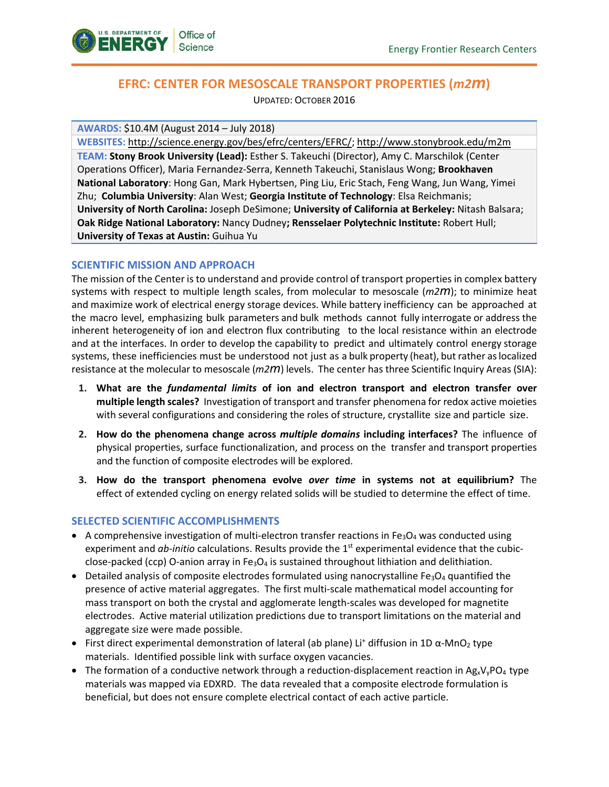

# **EFRC: CENTER FOR MESOSCALE TRANSPORT PROPERTIES (***m2m***)**

UPDATED: OCTOBER 2016

**AWARDS:** \$10.4M (August 2014 – July 2018)

**WEBSITES:** [http://science.energy.gov/bes/efrc/centers/EFRC/;](http://science.energy.gov/bes/efrc/centers/EFRC/)<http://www.stonybrook.edu/m2m> **TEAM: Stony Brook University (Lead):** Esther S. Takeuchi (Director), Amy C. Marschilok (Center Operations Officer), Maria Fernandez-Serra, Kenneth Takeuchi, Stanislaus Wong; **Brookhaven National Laboratory**: Hong Gan, Mark Hybertsen, Ping Liu, Eric Stach, Feng Wang, Jun Wang, Yimei Zhu; **Columbia University**: Alan West; **Georgia Institute of Technology**: Elsa Reichmanis; **University of North Carolina:** Joseph DeSimone; **University of California at Berkeley:** Nitash Balsara; **Oak Ridge National Laboratory:** Nancy Dudney**; Rensselaer Polytechnic Institute:** Robert Hull; **University of Texas at Austin:** Guihua Yu

## **SCIENTIFIC MISSION AND APPROACH**

The mission of the Center is to understand and provide control of transport properties in complex battery systems with respect to multiple length scales, from molecular to mesoscale (*m2m*); to minimize heat and maximize work of electrical energy storage devices. While battery inefficiency can be approached at the macro level, emphasizing bulk parameters and bulk methods cannot fully interrogate or address the inherent heterogeneity of ion and electron flux contributing to the local resistance within an electrode and at the interfaces. In order to develop the capability to predict and ultimately control energy storage systems, these inefficiencies must be understood not just as a bulk property (heat), but rather as localized resistance at the molecular to mesoscale (*m2m*) levels. The center has three Scientific Inquiry Areas (SIA):

- **1. What are the** *fundamental limits* **of ion and electron transport and electron transfer over multiple length scales?** Investigation of transport and transfer phenomena for redox active moieties with several configurations and considering the roles of structure, crystallite size and particle size.
- **2. How do the phenomena change across** *multiple domains* **including interfaces?** The influence of physical properties, surface functionalization, and process on the transfer and transport properties and the function of composite electrodes will be explored.
- **3. How do the transport phenomena evolve** *over time* **in systems not at equilibrium?** The effect of extended cycling on energy related solids will be studied to determine the effect of time.

## **SELECTED SCIENTIFIC ACCOMPLISHMENTS**

- A comprehensive investigation of multi-electron transfer reactions in Fe<sub>3</sub>O<sub>4</sub> was conducted using experiment and *ab-initio* calculations. Results provide the 1<sup>st</sup> experimental evidence that the cubicclose-packed (ccp) O-anion array in Fe<sub>3</sub>O<sub>4</sub> is sustained throughout lithiation and delithiation.
- Detailed analysis of composite electrodes formulated using nanocrystalline Fe<sub>3</sub>O<sub>4</sub> quantified the presence of active material aggregates. The first multi-scale mathematical model accounting for mass transport on both the crystal and agglomerate length-scales was developed for magnetite electrodes. Active material utilization predictions due to transport limitations on the material and aggregate size were made possible.
- First direct experimental demonstration of lateral (ab plane) Li<sup>+</sup> diffusion in 1D  $\alpha$ -MnO<sub>2</sub> type materials. Identified possible link with surface oxygen vacancies.
- The formation of a conductive network through a reduction-displacement reaction in  $Ag_xV_vPO_4$  type materials was mapped via EDXRD. The data revealed that a composite electrode formulation is beneficial, but does not ensure complete electrical contact of each active particle.